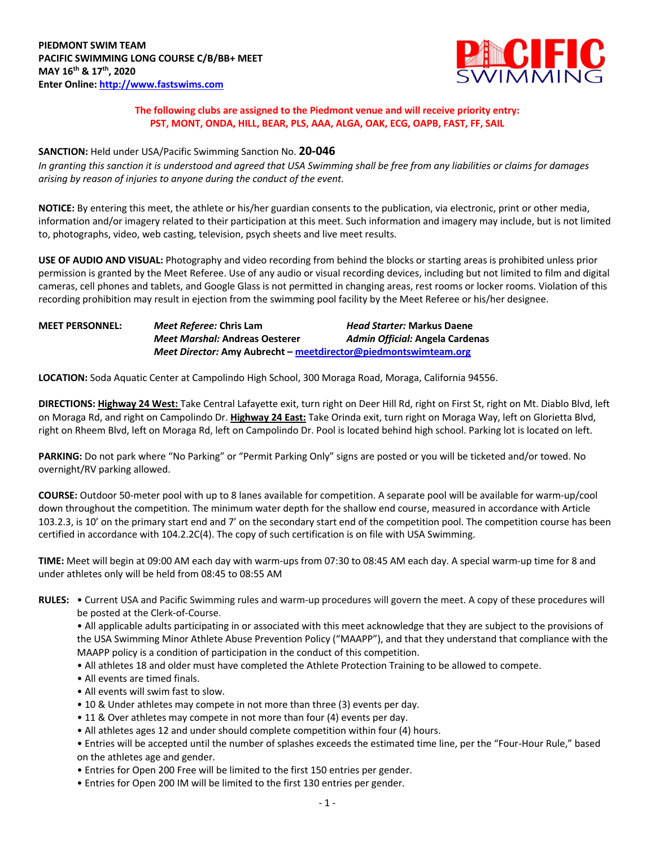

## **The following clubs are assigned to the Piedmont venue and will receive priority entry: PST, MONT, ONDA, HILL, BEAR, PLS, AAA, ALGA, OAK, ECG, OAPB, FAST, FF, SAIL**

## **SANCTION:** Held under USA/Pacific Swimming Sanction No. **20-046**

*In granting this sanction it is understood and agreed that USA Swimming shall be free from any liabilities or claims for damages arising by reason of injuries to anyone during the conduct of the event.*

**NOTICE:** By entering this meet, the athlete or his/her guardian consents to the publication, via electronic, print or other media, information and/or imagery related to their participation at this meet. Such information and imagery may include, but is not limited to, photographs, video, web casting, television, psych sheets and live meet results.

**USE OF AUDIO AND VISUAL:** Photography and video recording from behind the blocks or starting areas is prohibited unless prior permission is granted by the Meet Referee. Use of any audio or visual recording devices, including but not limited to film and digital cameras, cell phones and tablets, and Google Glass is not permitted in changing areas, rest rooms or locker rooms. Violation of this recording prohibition may result in ejection from the swimming pool facility by the Meet Referee or his/her designee.

| <b>MEET PERSONNEL:</b> | Meet Referee: Chris Lam                                         | <b>Head Starter: Markus Daene</b> |
|------------------------|-----------------------------------------------------------------|-----------------------------------|
|                        | <b>Meet Marshal: Andreas Oesterer</b>                           | Admin Official: Angela Cardenas   |
|                        | Meet Director: Amy Aubrecht - meetdirector@piedmontswimteam.org |                                   |

**LOCATION:** Soda Aquatic Center at Campolindo High School, 300 Moraga Road, Moraga, California 94556.

**DIRECTIONS: Highway 24 West:** Take Central Lafayette exit, turn right on Deer Hill Rd, right on First St, right on Mt. Diablo Blvd, left on Moraga Rd, and right on Campolindo Dr. **Highway 24 East:** Take Orinda exit, turn right on Moraga Way, left on Glorietta Blvd, right on Rheem Blvd, left on Moraga Rd, left on Campolindo Dr. Pool is located behind high school. Parking lot is located on left.

PARKING: Do not park where "No Parking" or "Permit Parking Only" signs are posted or you will be ticketed and/or towed. No overnight/RV parking allowed.

**COURSE:** Outdoor 50-meter pool with up to 8 lanes available for competition. A separate pool will be available for warm-up/cool down throughout the competition. The minimum water depth for the shallow end course, measured in accordance with Article 103.2.3, is 10' on the primary start end and 7' on the secondary start end of the competition pool. The competition course has been certified in accordance with 104.2.2C(4). The copy of such certification is on file with USA Swimming.

**TIME:** Meet will begin at 09:00 AM each day with warm-ups from 07:30 to 08:45 AM each day. A special warm-up time for 8 and under athletes only will be held from 08:45 to 08:55 AM

**RULES:** • Current USA and Pacific Swimming rules and warm-up procedures will govern the meet. A copy of these procedures will be posted at the Clerk-of-Course.

• All applicable adults participating in or associated with this meet acknowledge that they are subject to the provisions of the USA Swimming Minor Athlete Abuse Prevention Policy ("MAAPP"), and that they understand that compliance with the MAAPP policy is a condition of participation in the conduct of this competition.

- All athletes 18 and older must have completed the Athlete Protection Training to be allowed to compete.
- All events are timed finals.
- All events will swim fast to slow.
- 10 & Under athletes may compete in not more than three (3) events per day.
- 11 & Over athletes may compete in not more than four (4) events per day.
- All athletes ages 12 and under should complete competition within four (4) hours.
- Entries will be accepted until the number of splashes exceeds the estimated time line, per the "Four-Hour Rule," based on the athletes age and gender.
- Entries for Open 200 Free will be limited to the first 150 entries per gender.
- Entries for Open 200 IM will be limited to the first 130 entries per gender.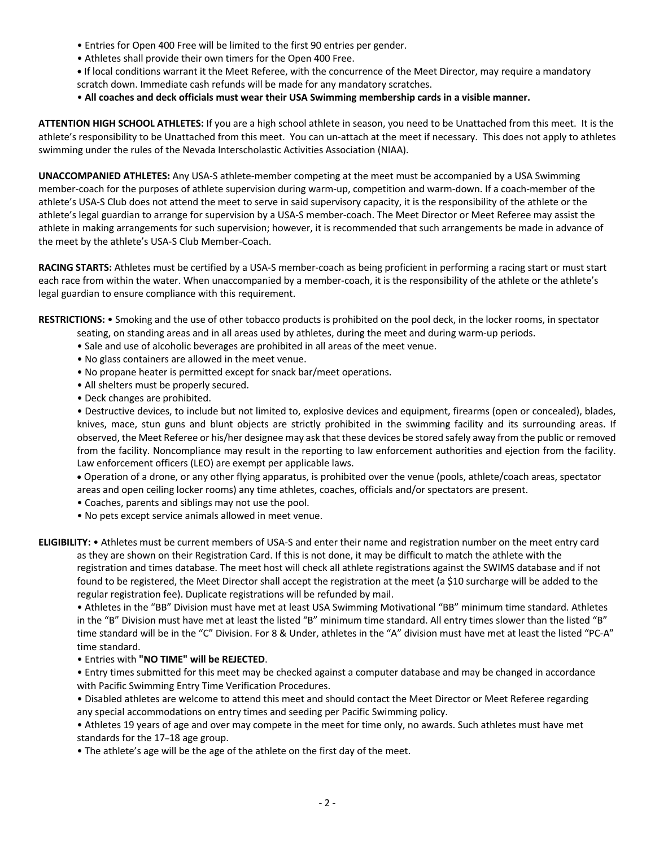- Entries for Open 400 Free will be limited to the first 90 entries per gender.
- Athletes shall provide their own timers for the Open 400 Free.
- **•** If local conditions warrant it the Meet Referee, with the concurrence of the Meet Director, may require a mandatory scratch down. Immediate cash refunds will be made for any mandatory scratches.
- **All coaches and deck officials must wear their USA Swimming membership cards in a visible manner.**

**ATTENTION HIGH SCHOOL ATHLETES:** If you are a high school athlete in season, you need to be Unattached from this meet. It is the athlete's responsibility to be Unattached from this meet. You can un-attach at the meet if necessary. This does not apply to athletes swimming under the rules of the Nevada Interscholastic Activities Association (NIAA).

**UNACCOMPANIED ATHLETES:** Any USA-S athlete-member competing at the meet must be accompanied by a USA Swimming member-coach for the purposes of athlete supervision during warm-up, competition and warm-down. If a coach-member of the athlete's USA-S Club does not attend the meet to serve in said supervisory capacity, it is the responsibility of the athlete or the athlete's legal guardian to arrange for supervision by a USA-S member-coach. The Meet Director or Meet Referee may assist the athlete in making arrangements for such supervision; however, it is recommended that such arrangements be made in advance of the meet by the athlete's USA-S Club Member-Coach.

**RACING STARTS:** Athletes must be certified by a USA-S member-coach as being proficient in performing a racing start or must start each race from within the water. When unaccompanied by a member-coach, it is the responsibility of the athlete or the athlete's legal guardian to ensure compliance with this requirement.

**RESTRICTIONS:** • Smoking and the use of other tobacco products is prohibited on the pool deck, in the locker rooms, in spectator

- seating, on standing areas and in all areas used by athletes, during the meet and during warm-up periods.
- Sale and use of alcoholic beverages are prohibited in all areas of the meet venue.
- No glass containers are allowed in the meet venue.
- No propane heater is permitted except for snack bar/meet operations.
- All shelters must be properly secured.
- Deck changes are prohibited.

• Destructive devices, to include but not limited to, explosive devices and equipment, firearms (open or concealed), blades, knives, mace, stun guns and blunt objects are strictly prohibited in the swimming facility and its surrounding areas. If observed, the Meet Referee or his/her designee may ask that these devices be stored safely away from the public or removed from the facility. Noncompliance may result in the reporting to law enforcement authorities and ejection from the facility. Law enforcement officers (LEO) are exempt per applicable laws.

• Operation of a drone, or any other flying apparatus, is prohibited over the venue (pools, athlete/coach areas, spectator areas and open ceiling locker rooms) any time athletes, coaches, officials and/or spectators are present.

- Coaches, parents and siblings may not use the pool.
- No pets except service animals allowed in meet venue.

**ELIGIBILITY:** • Athletes must be current members of USA-S and enter their name and registration number on the meet entry card as they are shown on their Registration Card. If this is not done, it may be difficult to match the athlete with the registration and times database. The meet host will check all athlete registrations against the SWIMS database and if not found to be registered, the Meet Director shall accept the registration at the meet (a \$10 surcharge will be added to the regular registration fee). Duplicate registrations will be refunded by mail.

• Athletes in the "BB" Division must have met at least USA Swimming Motivational "BB" minimum time standard. Athletes in the "B" Division must have met at least the listed "B" minimum time standard. All entry times slower than the listed "B" time standard will be in the "C" Division. For 8 & Under, athletes in the "A" division must have met at least the listed "PC-A" time standard.

• Entries with **"NO TIME" will be REJECTED**.

• Entry times submitted for this meet may be checked against a computer database and may be changed in accordance with Pacific Swimming Entry Time Verification Procedures.

• Disabled athletes are welcome to attend this meet and should contact the Meet Director or Meet Referee regarding any special accommodations on entry times and seeding per Pacific Swimming policy.

• Athletes 19 years of age and over may compete in the meet for time only, no awards. Such athletes must have met standards for the 17–18 age group.

• The athlete's age will be the age of the athlete on the first day of the meet.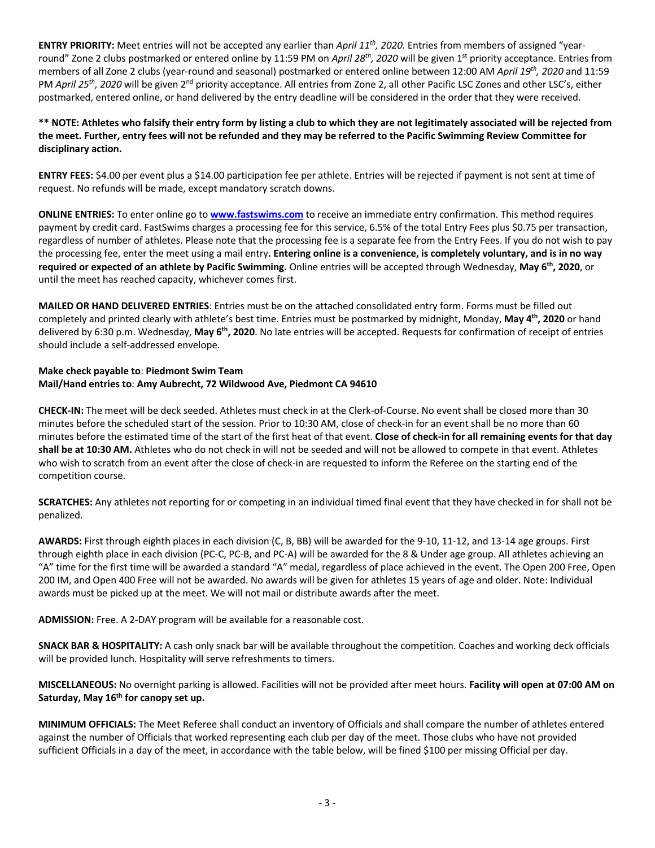**ENTRY PRIORITY:** Meet entries will not be accepted any earlier than *April 11th, 2020.* Entries from members of assigned "yearround" Zone 2 clubs postmarked or entered online by 11:59 PM on *April 28<sup>th</sup>, 2020* will be given 1<sup>st</sup> priority acceptance. Entries from members of all Zone 2 clubs (year-round and seasonal) postmarked or entered online between 12:00 AM *April 19th, 2020* and 11:59 PM *April 25th, 2020* will be given 2nd priority acceptance. All entries from Zone 2, all other Pacific LSC Zones and other LSC's, either postmarked, entered online, or hand delivered by the entry deadline will be considered in the order that they were received.

**\*\* NOTE: Athletes who falsify their entry form by listing a club to which they are not legitimately associated will be rejected from the meet. Further, entry fees will not be refunded and they may be referred to the Pacific Swimming Review Committee for disciplinary action.**

**ENTRY FEES:** \$4.00 per event plus a \$14.00 participation fee per athlete. Entries will be rejected if payment is not sent at time of request. No refunds will be made, except mandatory scratch downs.

**ONLINE ENTRIES:** To enter online go to **www.fastswims.com** to receive an immediate entry confirmation. This method requires payment by credit card. FastSwims charges a processing fee for this service, 6.5% of the total Entry Fees plus \$0.75 per transaction, regardless of number of athletes. Please note that the processing fee is a separate fee from the Entry Fees. If you do not wish to pay the processing fee, enter the meet using a mail entry**. Entering online is a convenience, is completely voluntary, and is in no way required or expected of an athlete by Pacific Swimming.** Online entries will be accepted through Wednesday, **May 6th, 2020**, or until the meet has reached capacity, whichever comes first.

**MAILED OR HAND DELIVERED ENTRIES**: Entries must be on the attached consolidated entry form. Forms must be filled out completely and printed clearly with athlete's best time. Entries must be postmarked by midnight, Monday, **May 4th, 2020** or hand delivered by 6:30 p.m. Wednesday, **May 6th, 2020**. No late entries will be accepted. Requests for confirmation of receipt of entries should include a self-addressed envelope.

## **Make check payable to**: **Piedmont Swim Team Mail/Hand entries to**: **Amy Aubrecht, 72 Wildwood Ave, Piedmont CA 94610**

**CHECK-IN:** The meet will be deck seeded. Athletes must check in at the Clerk-of-Course. No event shall be closed more than 30 minutes before the scheduled start of the session. Prior to 10:30 AM, close of check-in for an event shall be no more than 60 minutes before the estimated time of the start of the first heat of that event. **Close of check-in for all remaining events for that day shall be at 10:30 AM.** Athletes who do not check in will not be seeded and will not be allowed to compete in that event. Athletes who wish to scratch from an event after the close of check-in are requested to inform the Referee on the starting end of the competition course.

**SCRATCHES:** Any athletes not reporting for or competing in an individual timed final event that they have checked in for shall not be penalized.

**AWARDS:** First through eighth places in each division (C, B, BB) will be awarded for the 9-10, 11-12, and 13-14 age groups. First through eighth place in each division (PC-C, PC-B, and PC-A) will be awarded for the 8 & Under age group. All athletes achieving an "A" time for the first time will be awarded a standard "A" medal, regardless of place achieved in the event. The Open 200 Free, Open 200 IM, and Open 400 Free will not be awarded. No awards will be given for athletes 15 years of age and older. Note: Individual awards must be picked up at the meet. We will not mail or distribute awards after the meet.

**ADMISSION:** Free. A 2-DAY program will be available for a reasonable cost.

**SNACK BAR & HOSPITALITY:** A cash only snack bar will be available throughout the competition. Coaches and working deck officials will be provided lunch. Hospitality will serve refreshments to timers.

**MISCELLANEOUS:** No overnight parking is allowed. Facilities will not be provided after meet hours. **Facility will open at 07:00 AM on Saturday, May 16th for canopy set up.** 

**MINIMUM OFFICIALS:** The Meet Referee shall conduct an inventory of Officials and shall compare the number of athletes entered against the number of Officials that worked representing each club per day of the meet. Those clubs who have not provided sufficient Officials in a day of the meet, in accordance with the table below, will be fined \$100 per missing Official per day.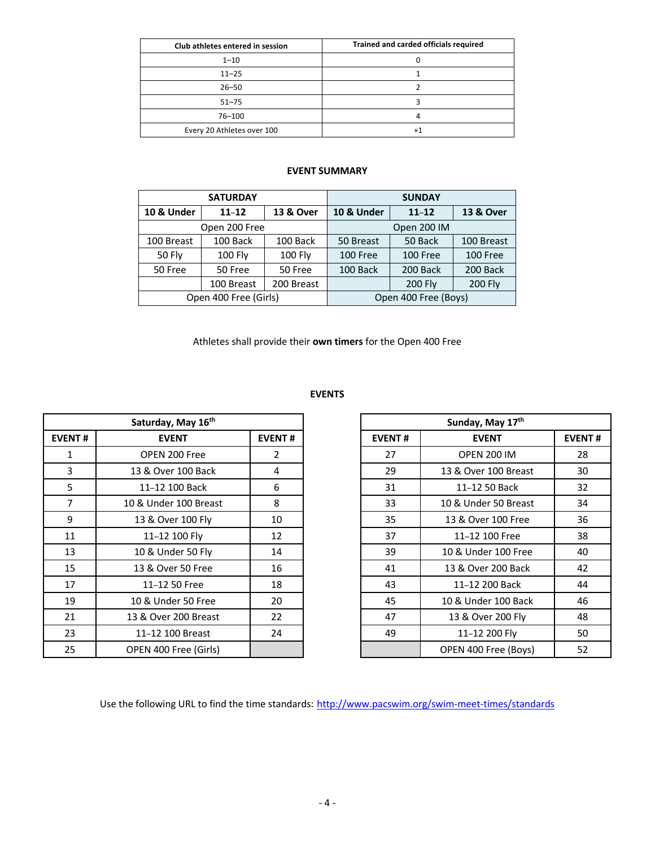| Club athletes entered in session | Trained and carded officials required |
|----------------------------------|---------------------------------------|
| $1 - 10$                         |                                       |
| $11 - 25$                        |                                       |
| $26 - 50$                        |                                       |
| $51 - 75$                        |                                       |
| 76-100                           |                                       |
| Every 20 Athletes over 100       |                                       |

## **EVENT SUMMARY**

|                                 | <b>SATURDAY</b> |            | <b>SUNDAY</b>         |                |                      |  |  |
|---------------------------------|-----------------|------------|-----------------------|----------------|----------------------|--|--|
| <b>10 &amp; Under</b>           | $11 - 12$       | 13 & Over  | <b>10 &amp; Under</b> | $11 - 12$      | <b>13 &amp; Over</b> |  |  |
|                                 | Open 200 Free   |            | Open 200 IM           |                |                      |  |  |
| 100 Breast                      | 100 Back        | 100 Back   | 50 Back<br>50 Breast  |                | 100 Breast           |  |  |
| <b>50 Fly</b><br><b>100 Fly</b> |                 | $100$ Fly  | 100 Free              | 100 Free       | 100 Free             |  |  |
| 50 Free                         | 50 Free         |            | 100 Back              | 200 Back       | 200 Back             |  |  |
|                                 | 100 Breast      | 200 Breast |                       | <b>200 Fly</b> | <b>200 Fly</b>       |  |  |
| Open 400 Free (Girls)           |                 |            | Open 400 Free (Boys)  |                |                      |  |  |

Athletes shall provide their **own timers** for the Open 400 Free

|                | Saturday, May 16th    |               |               | Sunday, May 17th     |               |
|----------------|-----------------------|---------------|---------------|----------------------|---------------|
| <b>EVENT#</b>  | <b>EVENT</b>          | <b>EVENT#</b> | <b>EVENT#</b> | <b>EVENT</b>         | <b>EVENT#</b> |
| 1              | OPEN 200 Free         | 2             | 27            | <b>OPEN 200 IM</b>   | 28            |
| 3              | 13 & Over 100 Back    | 4             | 29            | 13 & Over 100 Breast | 30            |
| 5              | 11-12 100 Back        | 6             | 31            | 11-12 50 Back        | 32            |
| $\overline{7}$ | 10 & Under 100 Breast | 8             | 33            | 10 & Under 50 Breast | 34            |
| 9              | 13 & Over 100 Fly     | 10            | 35            | 13 & Over 100 Free   | 36            |
| 11             | 11-12 100 Fly         | 12            | 37            | 11-12 100 Free       | 38            |
| 13             | 10 & Under 50 Fly     | 14            | 39            | 10 & Under 100 Free  | 40            |
| 15             | 13 & Over 50 Free     | 16            | 41            | 13 & Over 200 Back   | 42            |
| 17             | 11-12 50 Free         | 18            | 43            | 11-12 200 Back       | 44            |
| 19             | 10 & Under 50 Free    | 20            | 45            | 10 & Under 100 Back  | 46            |
| 21             | 13 & Over 200 Breast  | 22            | 47            | 13 & Over 200 Fly    | 48            |
| 23             | 11-12 100 Breast      | 24            | 49            | 11-12 200 Fly        | 50            |
| 25             | OPEN 400 Free (Girls) |               |               | OPEN 400 Free (Boys) | 52            |

| Sunday, May 17th |                      |               |  |  |  |  |  |
|------------------|----------------------|---------------|--|--|--|--|--|
| <b>EVENT#</b>    | <b>EVENT</b>         | <b>EVENT#</b> |  |  |  |  |  |
| 27               | <b>OPEN 200 IM</b>   | 28            |  |  |  |  |  |
| 29               | 13 & Over 100 Breast | 30            |  |  |  |  |  |
| 31               | 11-12 50 Back        | 32            |  |  |  |  |  |
| 33               | 10 & Under 50 Breast | 34            |  |  |  |  |  |
| 35               | 13 & Over 100 Free   | 36            |  |  |  |  |  |
| 37               | 11-12 100 Free       | 38            |  |  |  |  |  |
| 39               | 10 & Under 100 Free  | 40            |  |  |  |  |  |
| 41               | 13 & Over 200 Back   | 42            |  |  |  |  |  |
| 43               | 11-12 200 Back       | 44            |  |  |  |  |  |
| 45               | 10 & Under 100 Back  | 46            |  |  |  |  |  |
| 47               | 13 & Over 200 Fly    | 48            |  |  |  |  |  |
| 49               | 11-12 200 Fly        | 50            |  |  |  |  |  |
|                  | OPEN 400 Free (Boys) | 52            |  |  |  |  |  |

Use the following URL to find the time standards: http://www.pacswim.org/swim-meet-times/standards